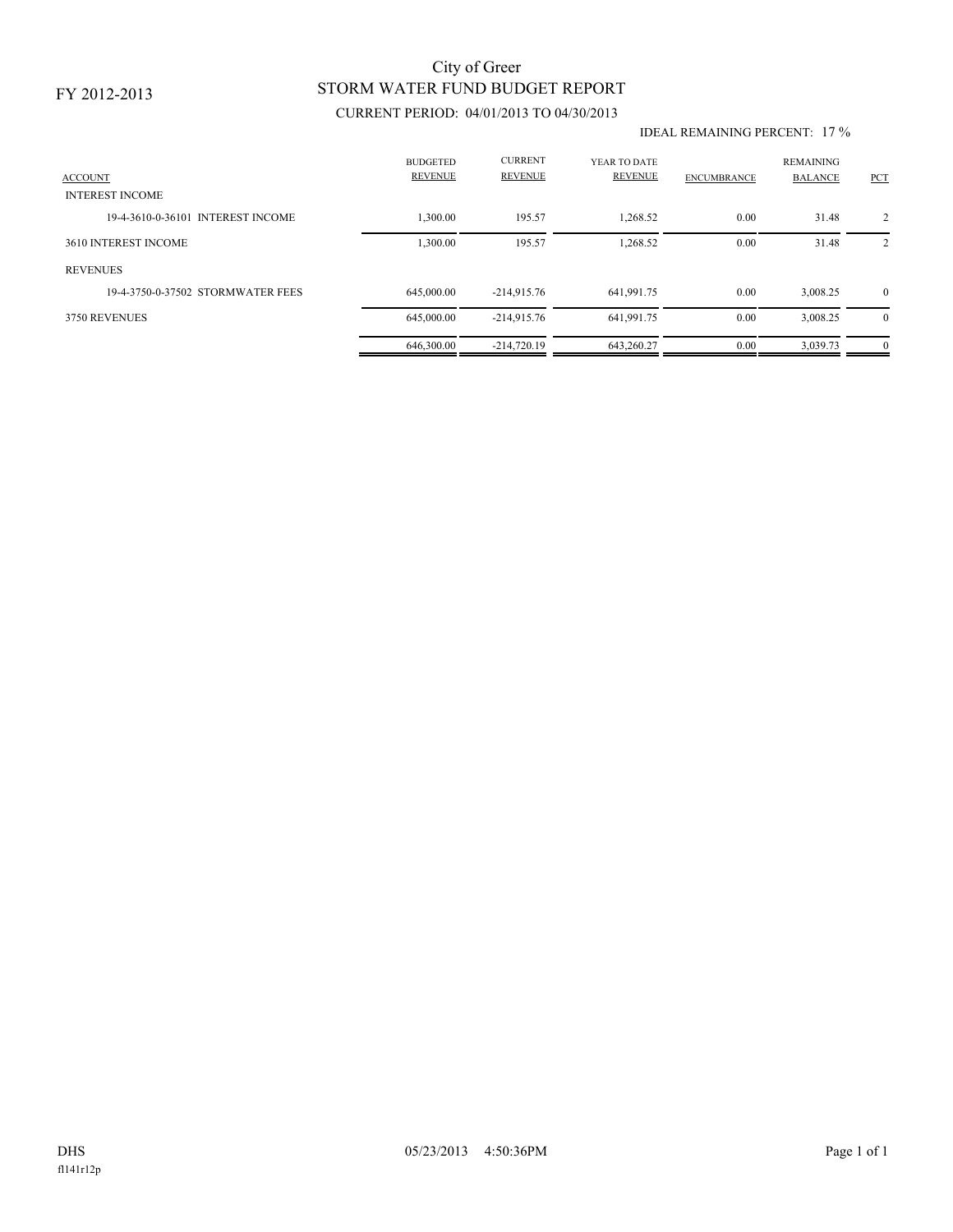### FY 2012-2013

# STORM WATER FUND BUDGET REPORT City of Greer

## CURRENT PERIOD: 04/01/2013 TO 04/30/2013

#### IDEAL REMAINING PERCENT: 17 %

| <b>ACCOUNT</b><br><b>INTEREST INCOME</b> | <b>BUDGETED</b><br><b>REVENUE</b> | <b>CURRENT</b><br><b>REVENUE</b> | YEAR TO DATE<br><b>REVENUE</b> | <b>ENCUMBRANCE</b> | <b>REMAINING</b><br><b>BALANCE</b> | <b>PCT</b>     |
|------------------------------------------|-----------------------------------|----------------------------------|--------------------------------|--------------------|------------------------------------|----------------|
| 19-4-3610-0-36101 INTEREST INCOME        | .300.00                           | 195.57                           | 1.268.52                       | 0.00               | 31.48                              | $\overline{2}$ |
| 3610 INTEREST INCOME                     | 1,300.00                          | 195.57                           | 1,268.52                       | 0.00               | 31.48                              | 2              |
| <b>REVENUES</b>                          |                                   |                                  |                                |                    |                                    |                |
| 19-4-3750-0-37502 STORMWATER FEES        | 645,000,00                        | $-214.915.76$                    | 641,991.75                     | 0.00               | 3.008.25                           | $\mathbf{0}$   |
| 3750 REVENUES                            | 645,000.00                        | $-214.915.76$                    | 641,991.75                     | 0.00               | 3,008.25                           | $\theta$       |
|                                          | 646,300.00                        | $-214.720.19$                    | 643.260.27                     | 0.00               | 3,039.73                           | $\mathbf{0}$   |